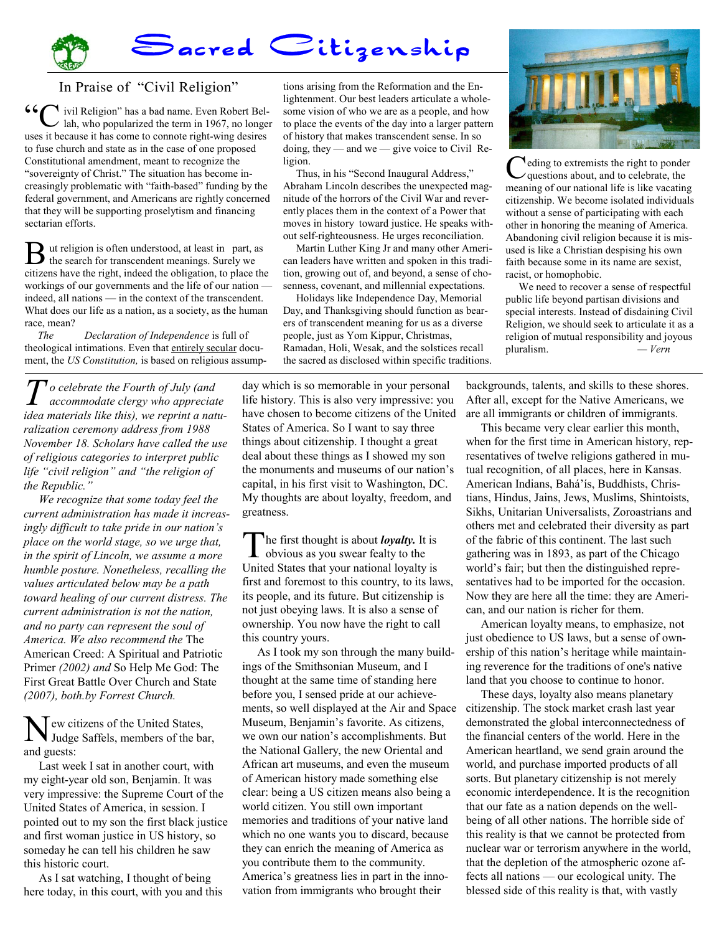## Sacred Citizenship

## In Praise of "Civil Religion"

 $\blacktriangle$  ivil Religion" has a bad name. Even Robert Bellah, who popularized the term in 1967, no longer uses it because it has come to connote right-wing desires to fuse church and state as in the case of one proposed Constitutional amendment, meant to recognize the "sovereignty of Christ." The situation has become increasingly problematic with "faith-based" funding by the federal government, and Americans are rightly concerned that they will be supporting proselytism and financing sectarian efforts.

B ut religion is often understood, at least in part, as the search for transcendent meanings. Surely we citizens have the right, indeed the obligation, to place the workings of our governments and the life of our nation indeed, all nations — in the context of the transcendent. What does our life as a nation, as a society, as the human race, mean?

 *The Declaration of Independence* is full of theological intimations. Even that entirely secular document, the *US Constitution*, is based on religious assump-

*T o celebrate the Fourth of July (and accommodate clergy who appreciate idea materials like this), we reprint a naturalization ceremony address from 1988 November 18. Scholars have called the use of religious categories to interpret public life "civil religion" and "the religion of the Republic."* 

 *We recognize that some today feel the current administration has made it increasingly difficult to take pride in our nation's place on the world stage, so we urge that, in the spirit of Lincoln, we assume a more humble posture. Nonetheless, recalling the values articulated below may be a path toward healing of our current distress. The current administration is not the nation, and no party can represent the soul of America. We also recommend the* The American Creed: A Spiritual and Patriotic Primer *(2002) and* So Help Me God: The First Great Battle Over Church and State *(2007), both.by Forrest Church.* 

ew citizens of the United States, Judge Saffels, members of the bar, and guests:

 Last week I sat in another court, with my eight-year old son, Benjamin. It was very impressive: the Supreme Court of the United States of America, in session. I pointed out to my son the first black justice and first woman justice in US history, so someday he can tell his children he saw this historic court.

 As I sat watching, I thought of being here today, in this court, with you and this

tions arising from the Reformation and the Enlightenment. Our best leaders articulate a wholesome vision of who we are as a people, and how to place the events of the day into a larger pattern of history that makes transcendent sense. In so doing, they — and we — give voice to Civil Religion.

 Thus, in his "Second Inaugural Address," Abraham Lincoln describes the unexpected magnitude of the horrors of the Civil War and reverently places them in the context of a Power that moves in history toward justice. He speaks without self-righteousness. He urges reconciliation.

 Martin Luther King Jr and many other American leaders have written and spoken in this tradition, growing out of, and beyond, a sense of chosenness, covenant, and millennial expectations.

 Holidays like Independence Day, Memorial Day, and Thanksgiving should function as bearers of transcendent meaning for us as a diverse people, just as Yom Kippur, Christmas, Ramadan, Holi, Wesak, and the solstices recall the sacred as disclosed within specific traditions.



The first thought is about *loyalty*. It is obvious as you swear fealty to the United States that your national loyalty is first and foremost to this country, to its laws, its people, and its future. But citizenship is not just obeying laws. It is also a sense of ownership. You now have the right to call this country yours.

 As I took my son through the many buildings of the Smithsonian Museum, and I thought at the same time of standing here before you, I sensed pride at our achievements, so well displayed at the Air and Space Museum, Benjamin's favorite. As citizens, we own our nation's accomplishments. But the National Gallery, the new Oriental and African art museums, and even the museum of American history made something else clear: being a US citizen means also being a world citizen. You still own important memories and traditions of your native land which no one wants you to discard, because they can enrich the meaning of America as you contribute them to the community. America's greatness lies in part in the innovation from immigrants who brought their



C eding to extremists the right to ponder questions about, and to celebrate, the meaning of our national life is like vacating citizenship. We become isolated individuals without a sense of participating with each other in honoring the meaning of America. Abandoning civil religion because it is misused is like a Christian despising his own faith because some in its name are sexist, racist, or homophobic.

 We need to recover a sense of respectful public life beyond partisan divisions and special interests. Instead of disdaining Civil Religion, we should seek to articulate it as a religion of mutual responsibility and joyous pluralism. *— Vern*

backgrounds, talents, and skills to these shores. After all, except for the Native Americans, we are all immigrants or children of immigrants.

 This became very clear earlier this month, when for the first time in American history, representatives of twelve religions gathered in mutual recognition, of all places, here in Kansas. American Indians, Bahá'ís, Buddhists, Christians, Hindus, Jains, Jews, Muslims, Shintoists, Sikhs, Unitarian Universalists, Zoroastrians and others met and celebrated their diversity as part of the fabric of this continent. The last such gathering was in 1893, as part of the Chicago world's fair; but then the distinguished representatives had to be imported for the occasion. Now they are here all the time: they are American, and our nation is richer for them.

 American loyalty means, to emphasize, not just obedience to US laws, but a sense of ownership of this nation's heritage while maintaining reverence for the traditions of one's native land that you choose to continue to honor.

 These days, loyalty also means planetary citizenship. The stock market crash last year demonstrated the global interconnectedness of the financial centers of the world. Here in the American heartland, we send grain around the world, and purchase imported products of all sorts. But planetary citizenship is not merely economic interdependence. It is the recognition that our fate as a nation depends on the wellbeing of all other nations. The horrible side of this reality is that we cannot be protected from nuclear war or terrorism anywhere in the world, that the depletion of the atmospheric ozone affects all nations — our ecological unity. The blessed side of this reality is that, with vastly